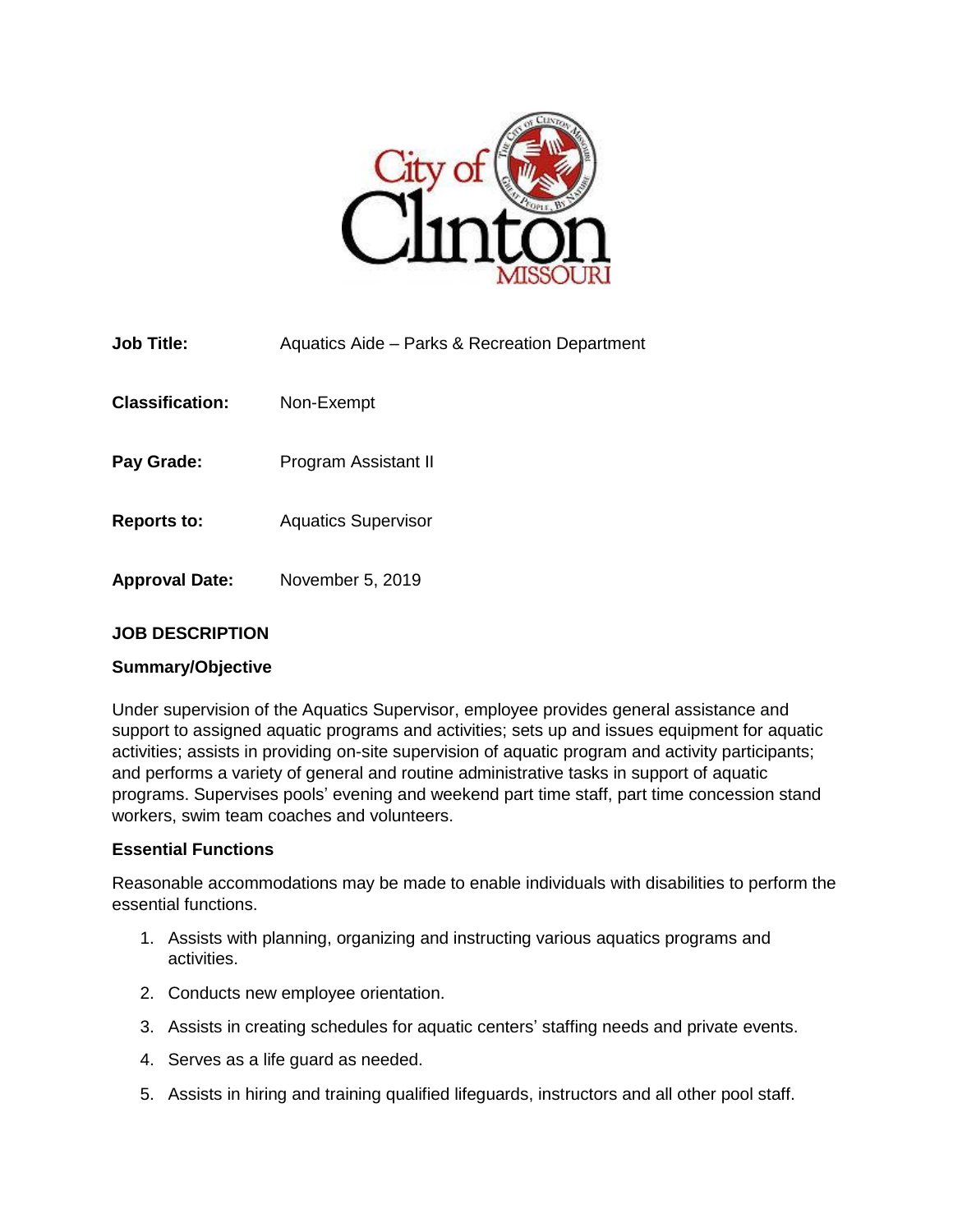

| <b>Job Title:</b>      | Aquatics Aide - Parks & Recreation Department |
|------------------------|-----------------------------------------------|
| <b>Classification:</b> | Non-Exempt                                    |
| Pay Grade:             | Program Assistant II                          |
| <b>Reports to:</b>     | <b>Aquatics Supervisor</b>                    |
| <b>Approval Date:</b>  | November 5, 2019                              |

# **JOB DESCRIPTION**

### **Summary/Objective**

Under supervision of the Aquatics Supervisor, employee provides general assistance and support to assigned aquatic programs and activities; sets up and issues equipment for aquatic activities; assists in providing on-site supervision of aquatic program and activity participants; and performs a variety of general and routine administrative tasks in support of aquatic programs. Supervises pools' evening and weekend part time staff, part time concession stand workers, swim team coaches and volunteers.

#### **Essential Functions**

Reasonable accommodations may be made to enable individuals with disabilities to perform the essential functions.

- 1. Assists with planning, organizing and instructing various aquatics programs and activities.
- 2. Conducts new employee orientation.
- 3. Assists in creating schedules for aquatic centers' staffing needs and private events.
- 4. Serves as a life guard as needed.
- 5. Assists in hiring and training qualified lifeguards, instructors and all other pool staff.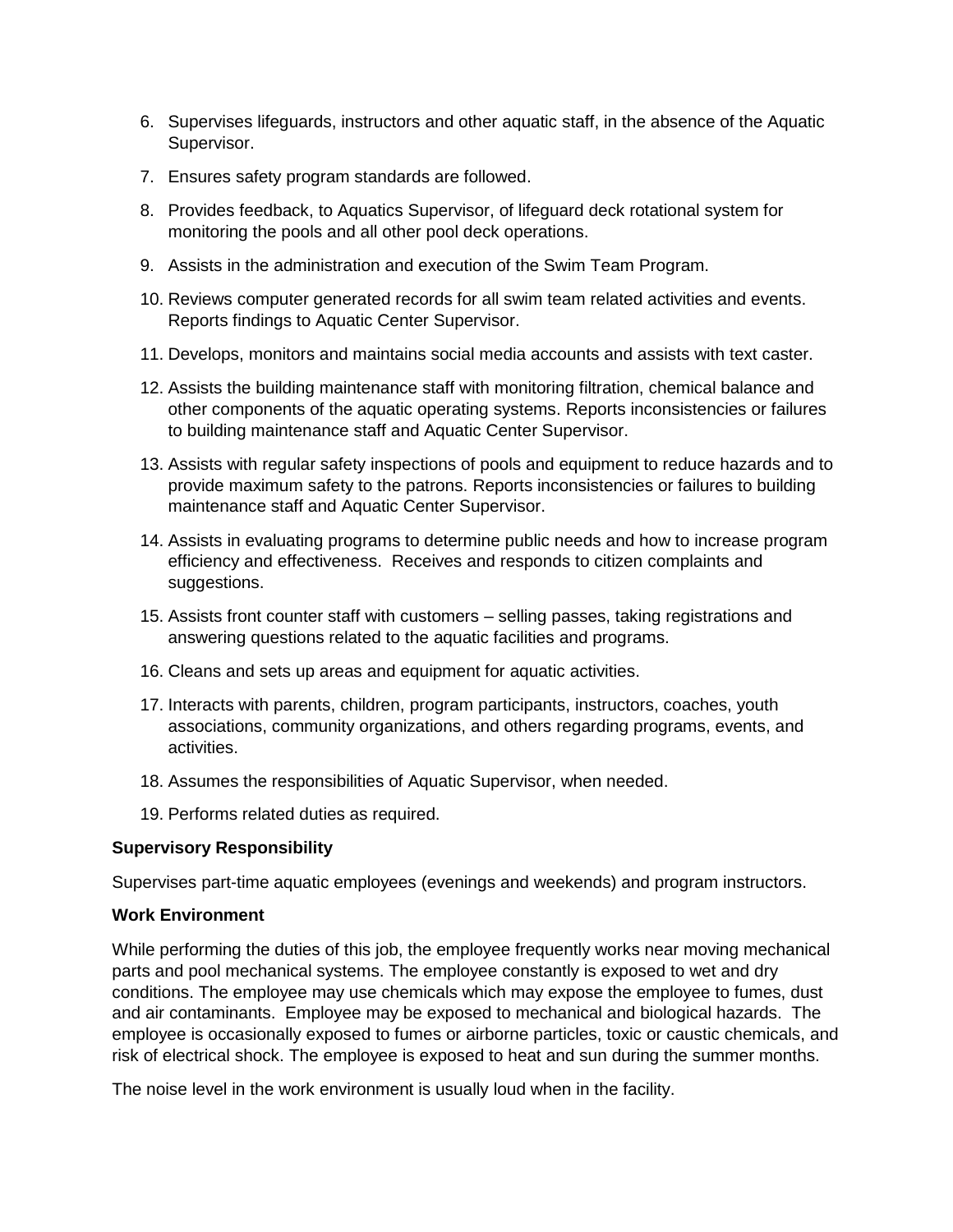- 6. Supervises lifeguards, instructors and other aquatic staff, in the absence of the Aquatic Supervisor.
- 7. Ensures safety program standards are followed.
- 8. Provides feedback, to Aquatics Supervisor, of lifeguard deck rotational system for monitoring the pools and all other pool deck operations.
- 9. Assists in the administration and execution of the Swim Team Program.
- 10. Reviews computer generated records for all swim team related activities and events. Reports findings to Aquatic Center Supervisor.
- 11. Develops, monitors and maintains social media accounts and assists with text caster.
- 12. Assists the building maintenance staff with monitoring filtration, chemical balance and other components of the aquatic operating systems. Reports inconsistencies or failures to building maintenance staff and Aquatic Center Supervisor.
- 13. Assists with regular safety inspections of pools and equipment to reduce hazards and to provide maximum safety to the patrons. Reports inconsistencies or failures to building maintenance staff and Aquatic Center Supervisor.
- 14. Assists in evaluating programs to determine public needs and how to increase program efficiency and effectiveness. Receives and responds to citizen complaints and suggestions.
- 15. Assists front counter staff with customers selling passes, taking registrations and answering questions related to the aquatic facilities and programs.
- 16. Cleans and sets up areas and equipment for aquatic activities.
- 17. Interacts with parents, children, program participants, instructors, coaches, youth associations, community organizations, and others regarding programs, events, and activities.
- 18. Assumes the responsibilities of Aquatic Supervisor, when needed.
- 19. Performs related duties as required.

### **Supervisory Responsibility**

Supervises part-time aquatic employees (evenings and weekends) and program instructors.

### **Work Environment**

While performing the duties of this job, the employee frequently works near moving mechanical parts and pool mechanical systems. The employee constantly is exposed to wet and dry conditions. The employee may use chemicals which may expose the employee to fumes, dust and air contaminants. Employee may be exposed to mechanical and biological hazards. The employee is occasionally exposed to fumes or airborne particles, toxic or caustic chemicals, and risk of electrical shock. The employee is exposed to heat and sun during the summer months.

The noise level in the work environment is usually loud when in the facility.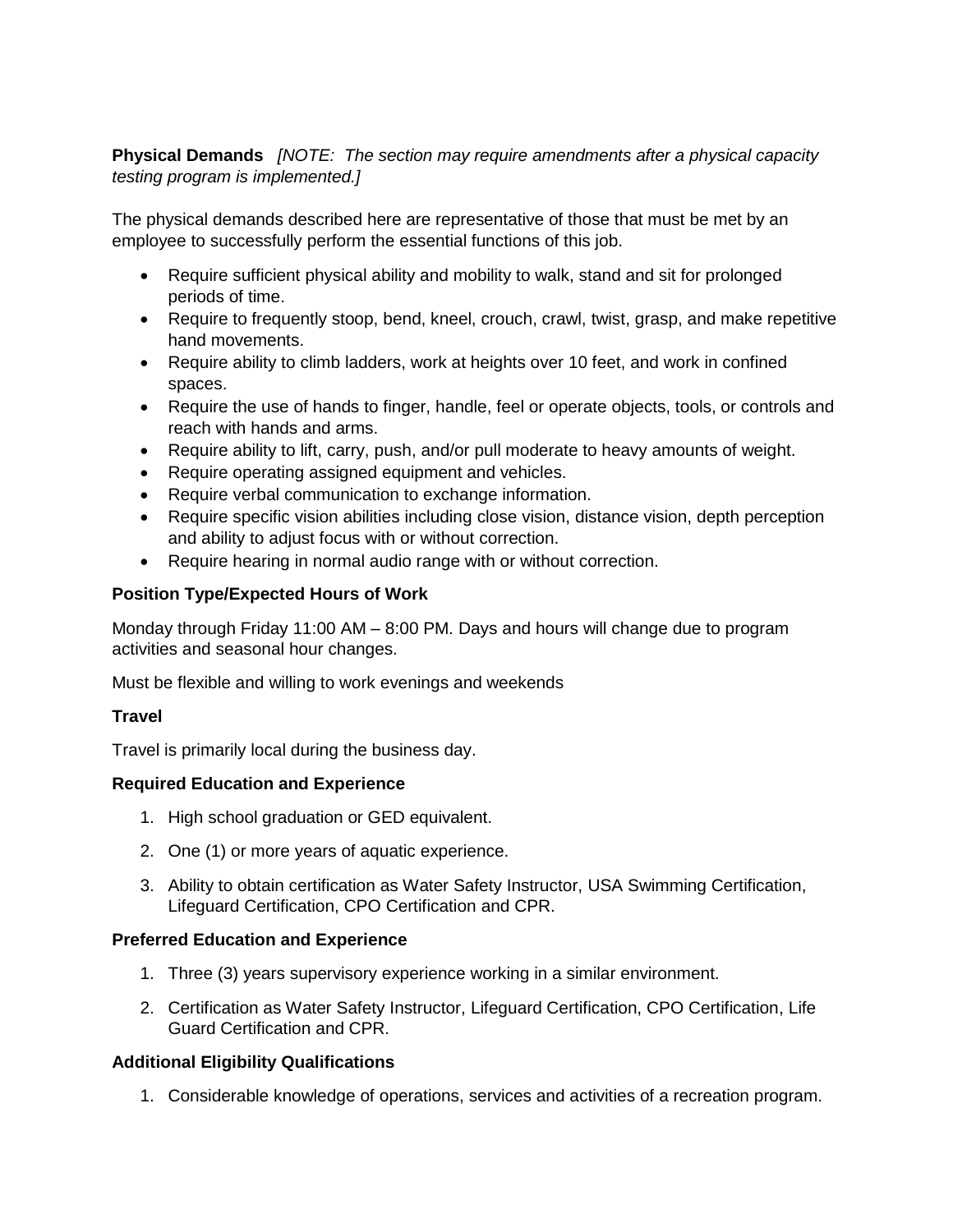**Physical Demands** *[NOTE: The section may require amendments after a physical capacity testing program is implemented.]*

The physical demands described here are representative of those that must be met by an employee to successfully perform the essential functions of this job.

- Require sufficient physical ability and mobility to walk, stand and sit for prolonged periods of time.
- Require to frequently stoop, bend, kneel, crouch, crawl, twist, grasp, and make repetitive hand movements.
- Require ability to climb ladders, work at heights over 10 feet, and work in confined spaces.
- Require the use of hands to finger, handle, feel or operate objects, tools, or controls and reach with hands and arms.
- Require ability to lift, carry, push, and/or pull moderate to heavy amounts of weight.
- Require operating assigned equipment and vehicles.
- Require verbal communication to exchange information.
- Require specific vision abilities including close vision, distance vision, depth perception and ability to adjust focus with or without correction.
- Require hearing in normal audio range with or without correction.

# **Position Type/Expected Hours of Work**

Monday through Friday 11:00 AM – 8:00 PM. Days and hours will change due to program activities and seasonal hour changes.

Must be flexible and willing to work evenings and weekends

# **Travel**

Travel is primarily local during the business day.

# **Required Education and Experience**

- 1. High school graduation or GED equivalent.
- 2. One (1) or more years of aquatic experience.
- 3. Ability to obtain certification as Water Safety Instructor, USA Swimming Certification, Lifeguard Certification, CPO Certification and CPR.

# **Preferred Education and Experience**

- 1. Three (3) years supervisory experience working in a similar environment.
- 2. Certification as Water Safety Instructor, Lifeguard Certification, CPO Certification, Life Guard Certification and CPR.

# **Additional Eligibility Qualifications**

1. Considerable knowledge of operations, services and activities of a recreation program.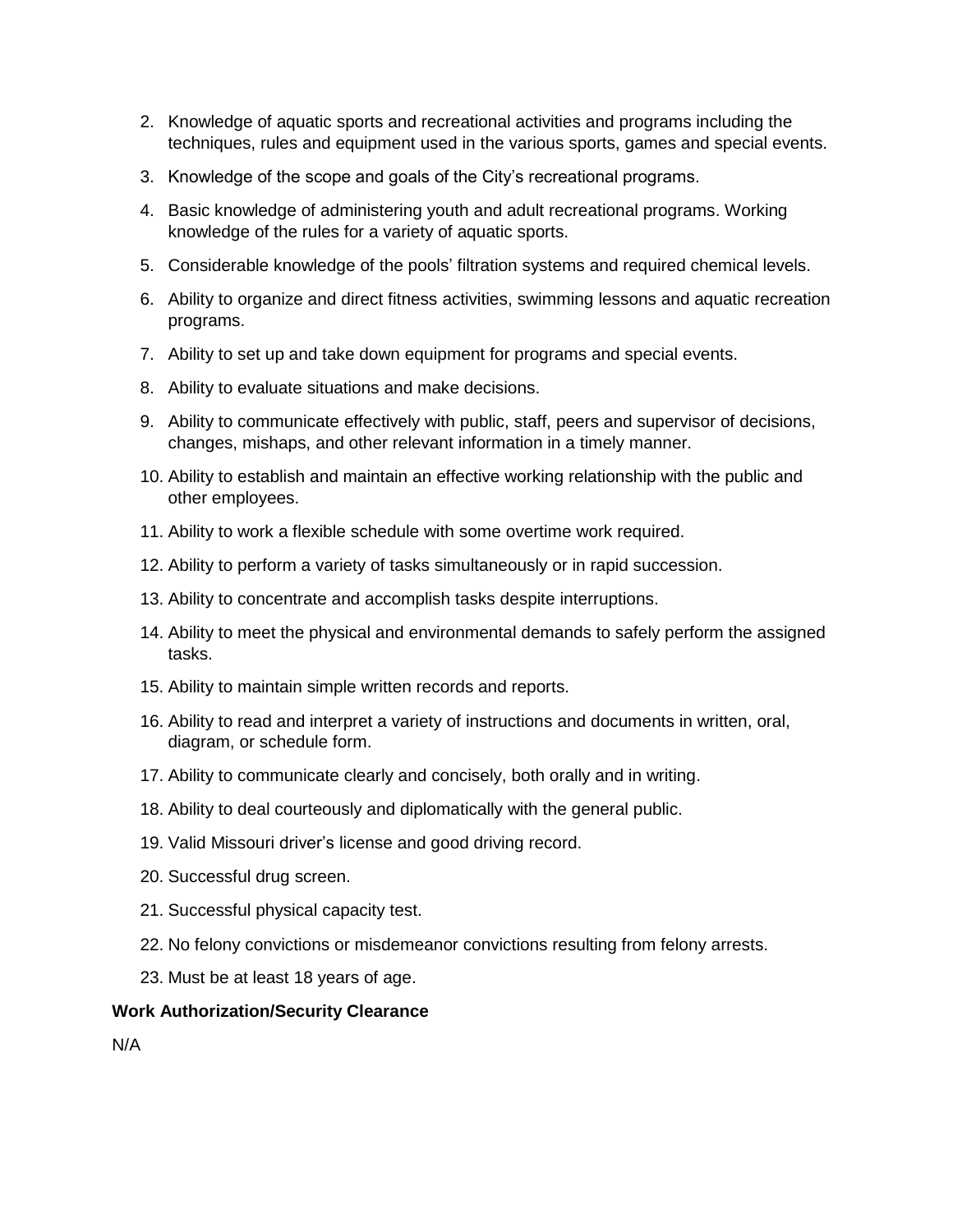- 2. Knowledge of aquatic sports and recreational activities and programs including the techniques, rules and equipment used in the various sports, games and special events.
- 3. Knowledge of the scope and goals of the City's recreational programs.
- 4. Basic knowledge of administering youth and adult recreational programs. Working knowledge of the rules for a variety of aquatic sports.
- 5. Considerable knowledge of the pools' filtration systems and required chemical levels.
- 6. Ability to organize and direct fitness activities, swimming lessons and aquatic recreation programs.
- 7. Ability to set up and take down equipment for programs and special events.
- 8. Ability to evaluate situations and make decisions.
- 9. Ability to communicate effectively with public, staff, peers and supervisor of decisions, changes, mishaps, and other relevant information in a timely manner.
- 10. Ability to establish and maintain an effective working relationship with the public and other employees.
- 11. Ability to work a flexible schedule with some overtime work required.
- 12. Ability to perform a variety of tasks simultaneously or in rapid succession.
- 13. Ability to concentrate and accomplish tasks despite interruptions.
- 14. Ability to meet the physical and environmental demands to safely perform the assigned tasks.
- 15. Ability to maintain simple written records and reports.
- 16. Ability to read and interpret a variety of instructions and documents in written, oral, diagram, or schedule form.
- 17. Ability to communicate clearly and concisely, both orally and in writing.
- 18. Ability to deal courteously and diplomatically with the general public.
- 19. Valid Missouri driver's license and good driving record.
- 20. Successful drug screen.
- 21. Successful physical capacity test.
- 22. No felony convictions or misdemeanor convictions resulting from felony arrests.
- 23. Must be at least 18 years of age.

#### **Work Authorization/Security Clearance**

N/A